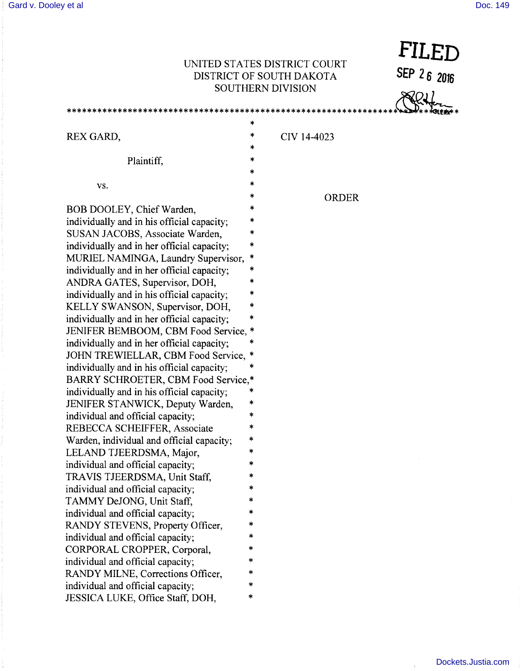\*\*\*\*\*\*\*\*\*\*\*\*\*\*\*\*\*\*\*\*

**FILED** 

**SEP 2 6 2016** 

## UNITED STATES DISTRICT COURT DISTRICT OF SOUTH DAKOTA SOUTHERN DIVISION

\*\*\*\*\*\*\*\*\*\*\*\*\*\*\*\*\*

|                                            | ∗ |             |
|--------------------------------------------|---|-------------|
| REX GARD,                                  | * | CIV 14-4023 |
|                                            | × |             |
| Plaintiff,                                 | * |             |
|                                            | * |             |
| VS.                                        | * |             |
|                                            | * | ORDER       |
| BOB DOOLEY, Chief Warden,                  | * |             |
| individually and in his official capacity; | * |             |
| SUSAN JACOBS, Associate Warden,            | * |             |
| individually and in her official capacity; | * |             |
| MURIEL NAMINGA, Laundry Supervisor,        | * |             |
| individually and in her official capacity; | * |             |
| ANDRA GATES, Supervisor, DOH,              | * |             |
| individually and in his official capacity; | * |             |
| KELLY SWANSON, Supervisor, DOH,            | * |             |
| individually and in her official capacity; | * |             |
| JENIFER BEMBOOM, CBM Food Service,         | * |             |
| individually and in her official capacity; | * |             |
| JOHN TREWIELLAR, CBM Food Service,         | ∗ |             |
| individually and in his official capacity; | × |             |
| BARRY SCHROETER, CBM Food Service,*        |   |             |
| individually and in his official capacity; | * |             |
| JENIFER STANWICK, Deputy Warden,           | * |             |
| individual and official capacity;          | * |             |
| REBECCA SCHEIFFER, Associate               | * |             |
| Warden, individual and official capacity;  | * |             |
| LELAND TJEERDSMA, Major,                   | * |             |
| individual and official capacity;          | * |             |
| TRAVIS TJEERDSMA, Unit Staff,              | * |             |
| individual and official capacity;          | * |             |
| TAMMY DeJONG, Unit Staff,                  |   |             |
| individual and official capacity;          | * |             |
| RANDY STEVENS, Property Officer,           | ∗ |             |
| individual and official capacity;          | ∗ |             |
| CORPORAL CROPPER, Corporal,                | * |             |
| individual and official capacity;          | * |             |
| RANDY MILNE, Corrections Officer,          | * |             |
| individual and official capacity;          | * |             |
| JESSICA LUKE, Office Staff, DOH,           | * |             |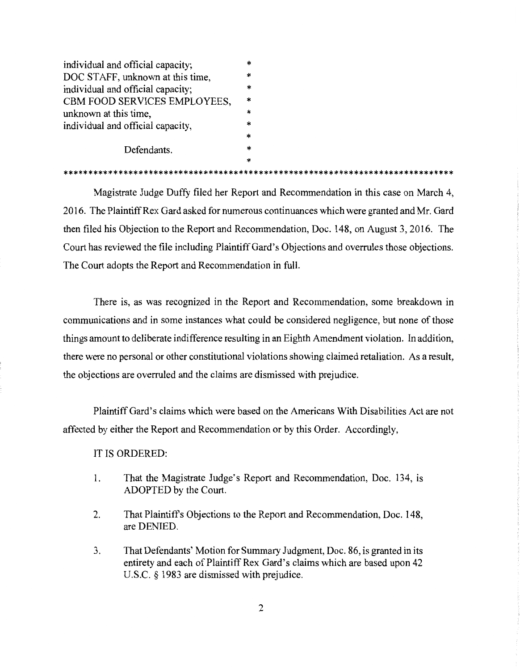| individual and official capacity; |        |  |
|-----------------------------------|--------|--|
| DOC STAFF, unknown at this time,  |        |  |
| individual and official capacity; |        |  |
| CBM FOOD SERVICES EMPLOYEES,      |        |  |
| unknown at this time,             |        |  |
| individual and official capacity, |        |  |
|                                   | $\ast$ |  |
| Defendants.                       |        |  |
|                                   | *      |  |

\* \*\*\*\*\*\*\*\*\*\*\*\*\*\*\*\*\*\*\*\*\*\*\*\*\*\*\*\*\*\*\*\*\*\*\*\*\*\*\*\*\*\*\*\*\*\*\*\*\*\*\*\*\*\*\*\*\*\*\*\*\*\*\*\*\*\*\*\*\*\*\*\*\*\*\*\*\*\*

Magistrate Judge Duffy filed her Report and Recommendation in this case on March 4, 2016. The Plaintiff Rex Gard asked for numerous continuances which were granted and Mr. Gard then filed his Objection to the Report and Recommendation, Doc. 148, on August 3, 2016. The Court has reviewed the file including Plaintiff Gard's Objections and overrules those objections. The Court adopts the Report and Recommendation in full.

There is, as was recognized in the Report and Recommendation, some breakdown in communications and in some instances what could be considered negligence, but none of those things amount to deliberate indifference resulting in an Eighth Amendment violation. In addition, there were no personal or other constitutional violations showing claimed retaliation. As a result, the objections are overruled and the claims are dismissed with prejudice.

Plaintiff Gard's claims which were based on the Americans With Disabilities Act are not affected by either the Report and Recommendation or by this Order. Accordingly,

IT IS ORDERED:

- 1. That the Magistrate Judge's Report and Recommendation, Doc. 134, is ADOPTED by the Court.
- 2. That Plaintiffs Objections to the Report and Recommendation, Doc. 148, are DENIED.
- 3. That Defendants' Motion for Summary Judgment, Doc. 86, is granted in its entirety and each of Plaintiff Rex Gard's claims which are based upon 42 U.S.C. § 1983 are dismissed with prejudice.